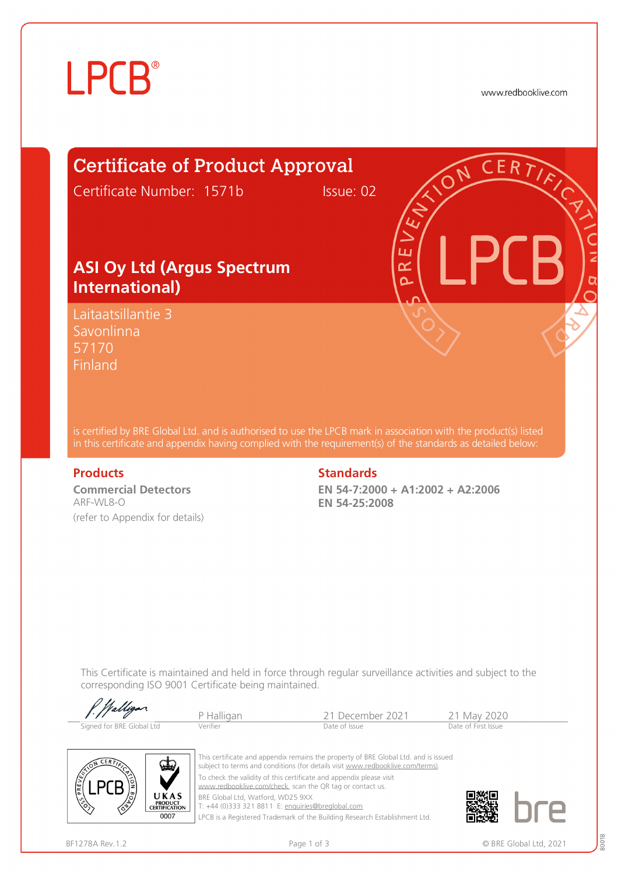# **LPCB**®

www.redbooklive.com

### Certificate of Product Approval

Certificate Number: 1571b Issue: 02

### **ASI Oy Ltd (Argus Spectrum International)**

Laitaatsillantie 3 Savonlinna 57170 **Finland** 

is certified by BRE Global Ltd. and is authorised to use the LPCB mark in association with the product(s) listed in this certificate and appendix having complied with the requirement(s) of the standards as detailed below:

**Commercial Detectors**  ARF-WL8-O (refer to Appendix for details)

### **Products Standards**

**EN 54-7:2000 + A1:2002 + A2:2006 EN 54-25:2008** 

ய œ Ò

This Certificate is maintained and held in force through regular surveillance activities and subject to the corresponding ISO 9001 Certificate being maintained.

| f. Walligan               |            |                  |                     |
|---------------------------|------------|------------------|---------------------|
|                           | P Halligan | 21 December 2021 | 21 May 2020         |
| Signed for BRE Global Ltd | Verifier   | Date of Issue    | Date of First Issue |



This certificate and appendix remains the property of BRE Global Ltd. and is issued subject to terms and conditions (for details visit [www.redbooklive.com/terms\)](http://www.redbooklive.com/terms)). To check the validity of this certificate and appendix please visit [www.redbooklive.com/check,](http://www.redbooklive.com/check) scan the QR tag or contact us. BRE Global Ltd, Watford, WD25 9XX

T: +44 (0)333 321 8811 E: [enquiries@breglobal.com](mailto:enquiries@breglobal.com)

LPCB is a Registered Trademark of the Building Research Establishment Ltd.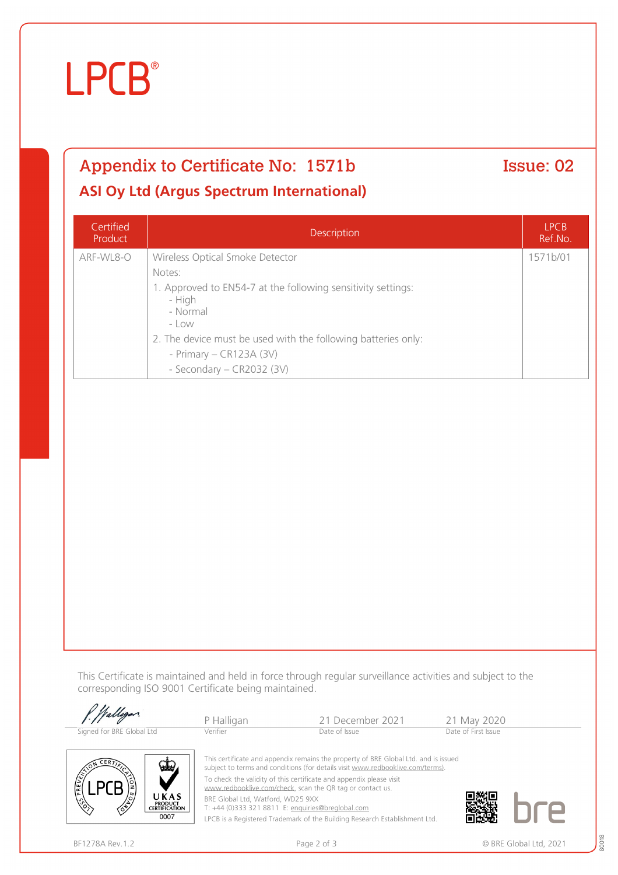## **LPCB**®

## Appendix to Certificate No: 1571b Issue: 02

### **ASI Oy Ltd (Argus Spectrum International)**

| Certified<br>Product | <b>Description</b>                                                                                                                                                                                                                                                  | <b>LPCB</b><br>Ref.No. |
|----------------------|---------------------------------------------------------------------------------------------------------------------------------------------------------------------------------------------------------------------------------------------------------------------|------------------------|
| ARF-WL8-O            | Wireless Optical Smoke Detector<br>Notes:<br>1. Approved to EN54-7 at the following sensitivity settings:<br>- High<br>- Normal<br>- Low<br>2. The device must be used with the following batteries only:<br>- Primary $-$ CR123A (3V)<br>- Secondary - CR2032 (3V) | 1571b/01               |

This Certificate is maintained and held in force through regular surveillance activities and subject to the corresponding ISO 9001 Certificate being maintained.

| / Walligan                                                                                                                                                                                                                                                                                                                                                                                                             | P Halligan | 21 December 2021 | 21 May 2020         |
|------------------------------------------------------------------------------------------------------------------------------------------------------------------------------------------------------------------------------------------------------------------------------------------------------------------------------------------------------------------------------------------------------------------------|------------|------------------|---------------------|
| Signed for BRE Global Ltd                                                                                                                                                                                                                                                                                                                                                                                              | Verifier   | Date of Issue    | Date of First Issue |
| This certificate and appendix remains the property of BRE Global Ltd. and is issued<br>CERT<br>WW.<br>subject to terms and conditions (for details visit www.redbooklive.com/terms).<br>with the contract of the property of the contract of the contract of the contract of the contract of the contract of the contract of the contract of the contract of the contract of the contract of the contract of the contr |            |                  |                     |



BRE Global Ltd, Watford, WD25 9XX

T: +44 (0)333 321 8811 E: [enquiries@breglobal.com](mailto:enquiries@breglobal.com)

LPCB is a Registered Trademark of the Building Research Establishment Ltd.



**LPCB** 

UKAS **PRODUCT<br>CERTIFICATION** 0007

80018